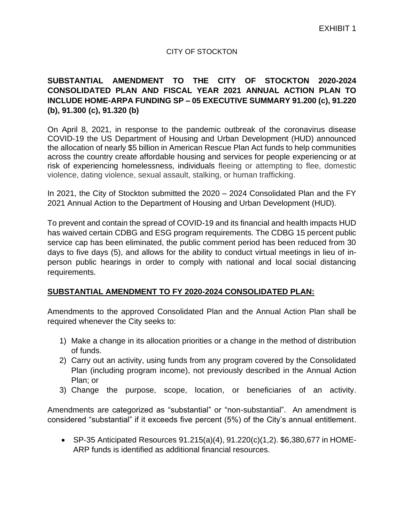# CITY OF STOCKTON

# **SUBSTANTIAL AMENDMENT TO THE CITY OF STOCKTON 2020-2024 CONSOLIDATED PLAN AND FISCAL YEAR 2021 ANNUAL ACTION PLAN TO INCLUDE HOME-ARPA FUNDING SP – 05 EXECUTIVE SUMMARY 91.200 (c), 91.220 (b), 91.300 (c), 91.320 (b)**

On April 8, 2021, in response to the pandemic outbreak of the coronavirus disease COVID-19 the US Department of Housing and Urban Development (HUD) announced the allocation of nearly \$5 billion in American Rescue Plan Act funds to help communities across the country create affordable housing and services for people experiencing or at risk of experiencing homelessness, individuals fleeing or attempting to flee, domestic violence, dating violence, sexual assault, stalking, or human trafficking.

In 2021, the City of Stockton submitted the 2020 – 2024 Consolidated Plan and the FY 2021 Annual Action to the Department of Housing and Urban Development (HUD).

To prevent and contain the spread of COVID-19 and its financial and health impacts HUD has waived certain CDBG and ESG program requirements. The CDBG 15 percent public service cap has been eliminated, the public comment period has been reduced from 30 days to five days (5), and allows for the ability to conduct virtual meetings in lieu of inperson public hearings in order to comply with national and local social distancing requirements.

# **SUBSTANTIAL AMENDMENT TO FY 2020-2024 CONSOLIDATED PLAN:**

Amendments to the approved Consolidated Plan and the Annual Action Plan shall be required whenever the City seeks to:

- 1) Make a change in its allocation priorities or a change in the method of distribution of funds.
- 2) Carry out an activity, using funds from any program covered by the Consolidated Plan (including program income), not previously described in the Annual Action Plan; or
- 3) Change the purpose, scope, location, or beneficiaries of an activity.

Amendments are categorized as "substantial" or "non-substantial". An amendment is considered "substantial" if it exceeds five percent (5%) of the City's annual entitlement.

• SP‐35 Anticipated Resources 91.215(a)(4), 91.220(c)(1,2). \$6,380,677 in HOME-ARP funds is identified as additional financial resources.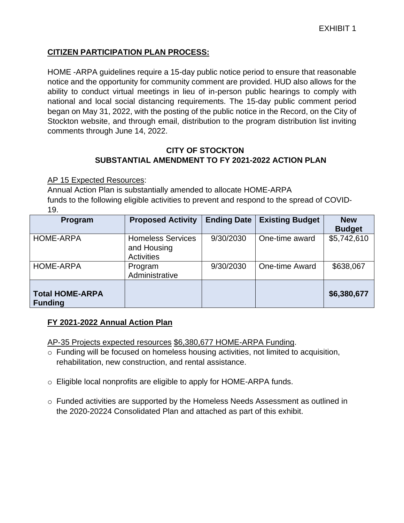# **CITIZEN PARTICIPATION PLAN PROCESS:**

HOME -ARPA guidelines require a 15-day public notice period to ensure that reasonable notice and the opportunity for community comment are provided. HUD also allows for the ability to conduct virtual meetings in lieu of in-person public hearings to comply with national and local social distancing requirements. The 15-day public comment period began on May 31, 2022, with the posting of the public notice in the Record, on the City of Stockton website, and through email, distribution to the program distribution list inviting comments through June 14, 2022.

# **CITY OF STOCKTON SUBSTANTIAL AMENDMENT TO FY 2021-2022 ACTION PLAN**

AP 15 Expected Resources:

Annual Action Plan is substantially amended to allocate HOME-ARPA funds to the following eligible activities to prevent and respond to the spread of COVID‐ 19.

| Program                                  | <b>Proposed Activity</b>                                     | <b>Ending Date</b> | <b>Existing Budget</b> | <b>New</b><br><b>Budget</b> |
|------------------------------------------|--------------------------------------------------------------|--------------------|------------------------|-----------------------------|
| <b>HOME-ARPA</b>                         | <b>Homeless Services</b><br>and Housing<br><b>Activities</b> | 9/30/2030          | One-time award         | \$5,742,610                 |
| <b>HOME-ARPA</b>                         | Program<br>Administrative                                    | 9/30/2030          | One-time Award         | \$638,067                   |
| <b>Total HOME-ARPA</b><br><b>Funding</b> |                                                              |                    |                        | \$6,380,677                 |

# **FY 2021**‐**2022 Annual Action Plan**

AP‐35 Projects expected resources \$6,380,677 HOME-ARPA Funding.

- o Funding will be focused on homeless housing activities, not limited to acquisition, rehabilitation, new construction, and rental assistance.
- o Eligible local nonprofits are eligible to apply for HOME-ARPA funds.
- $\circ$  Funded activities are supported by the Homeless Needs Assessment as outlined in the 2020-20224 Consolidated Plan and attached as part of this exhibit.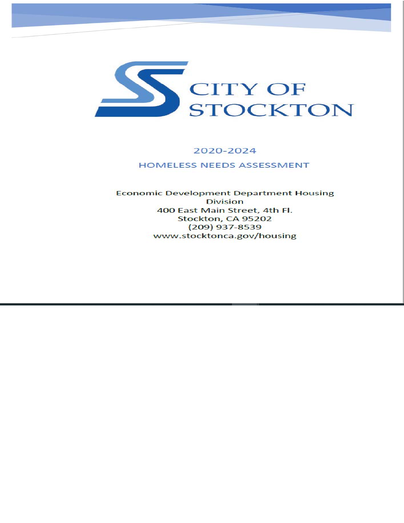

# 2020-2024

# **HOMELESS NEEDS ASSESSMENT**

#### **Economic Development Department Housing Division** 400 East Main Street, 4th Fl. Stockton, CA 95202  $(209)$  937-8539 www.stocktonca.gov/housing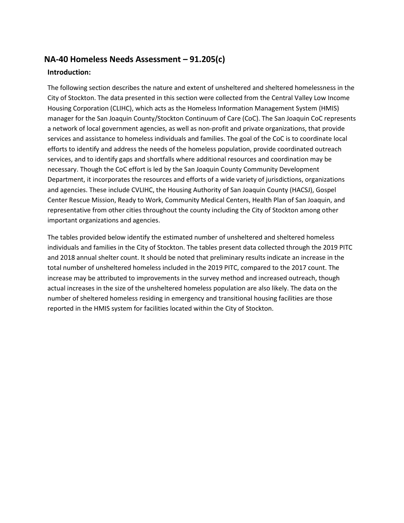# **NA-40 Homeless Needs Assessment – 91.205(c)**

#### **Introduction:**

The following section describes the nature and extent of unsheltered and sheltered homelessness in the City of Stockton. The data presented in this section were collected from the Central Valley Low Income Housing Corporation (CLIHC), which acts as the Homeless Information Management System (HMIS) manager for the San Joaquin County/Stockton Continuum of Care (CoC). The San Joaquin CoC represents a network of local government agencies, as well as non-profit and private organizations, that provide services and assistance to homeless individuals and families. The goal of the CoC is to coordinate local efforts to identify and address the needs of the homeless population, provide coordinated outreach services, and to identify gaps and shortfalls where additional resources and coordination may be necessary. Though the CoC effort is led by the San Joaquin County Community Development Department, it incorporates the resources and efforts of a wide variety of jurisdictions, organizations and agencies. These include CVLIHC, the Housing Authority of San Joaquin County (HACSJ), Gospel Center Rescue Mission, Ready to Work, Community Medical Centers, Health Plan of San Joaquin, and representative from other cities throughout the county including the City of Stockton among other important organizations and agencies.

The tables provided below identify the estimated number of unsheltered and sheltered homeless individuals and families in the City of Stockton. The tables present data collected through the 2019 PITC and 2018 annual shelter count. It should be noted that preliminary results indicate an increase in the total number of unsheltered homeless included in the 2019 PITC, compared to the 2017 count. The increase may be attributed to improvements in the survey method and increased outreach, though actual increases in the size of the unsheltered homeless population are also likely. The data on the number of sheltered homeless residing in emergency and transitional housing facilities are those reported in the HMIS system for facilities located within the City of Stockton.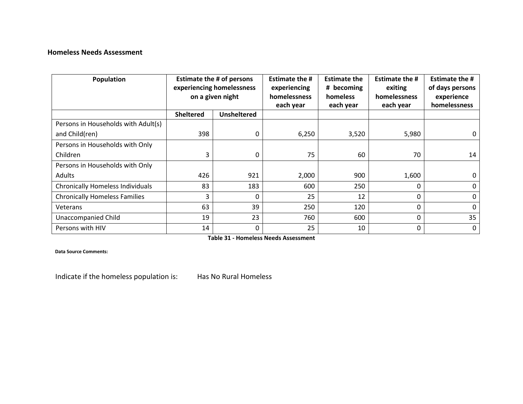# **Homeless Needs Assessment**

| Population                              | <b>Estimate the # of persons</b><br>experiencing homelessness<br>on a given night |                    | <b>Estimate the #</b><br>experiencing<br>homelessness<br>each year | <b>Estimate the</b><br># becoming<br>homeless<br>each year | <b>Estimate the #</b><br>exiting<br>homelessness<br>each year | <b>Estimate the #</b><br>of days persons<br>experience<br>homelessness |
|-----------------------------------------|-----------------------------------------------------------------------------------|--------------------|--------------------------------------------------------------------|------------------------------------------------------------|---------------------------------------------------------------|------------------------------------------------------------------------|
|                                         | <b>Sheltered</b>                                                                  | <b>Unsheltered</b> |                                                                    |                                                            |                                                               |                                                                        |
| Persons in Households with Adult(s)     |                                                                                   |                    |                                                                    |                                                            |                                                               |                                                                        |
| and Child(ren)                          | 398                                                                               | 0                  | 6,250                                                              | 3,520                                                      | 5,980                                                         | 0                                                                      |
| Persons in Households with Only         |                                                                                   |                    |                                                                    |                                                            |                                                               |                                                                        |
| Children                                | 3                                                                                 | 0                  | 75                                                                 | 60                                                         | 70                                                            | 14                                                                     |
| Persons in Households with Only         |                                                                                   |                    |                                                                    |                                                            |                                                               |                                                                        |
| Adults                                  | 426                                                                               | 921                | 2,000                                                              | 900                                                        | 1,600                                                         | 0                                                                      |
| <b>Chronically Homeless Individuals</b> | 83                                                                                | 183                | 600                                                                | 250                                                        | $\mathbf{0}$                                                  | 0                                                                      |
| <b>Chronically Homeless Families</b>    | 3                                                                                 | 0                  | 25                                                                 | 12                                                         | 0                                                             | 0                                                                      |
| Veterans                                | 63                                                                                | 39                 | 250                                                                | 120                                                        | 0                                                             | 0                                                                      |
| <b>Unaccompanied Child</b>              | 19                                                                                | 23                 | 760                                                                | 600                                                        | 0                                                             | 35                                                                     |
| Persons with HIV                        | 14                                                                                | 0                  | 25                                                                 | 10                                                         | 0                                                             | 0                                                                      |

**Table 31 - Homeless Needs Assessment**

**Data Source Comments:**

Indicate if the homeless population is: Has No Rural Homeless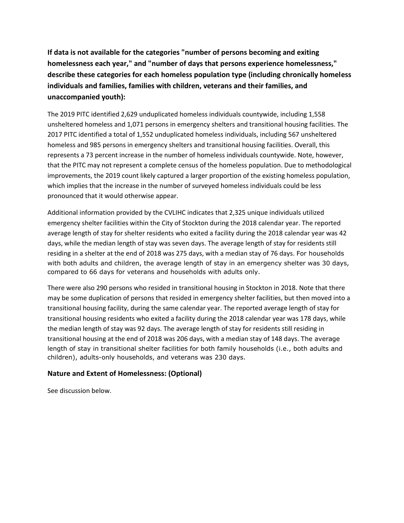**If data is not available for the categories "number of persons becoming and exiting homelessness each year," and "number of days that persons experience homelessness," describe these categories for each homeless population type (including chronically homeless individuals and families, families with children, veterans and their families, and unaccompanied youth):**

The 2019 PITC identified 2,629 unduplicated homeless individuals countywide, including 1,558 unsheltered homeless and 1,071 persons in emergency shelters and transitional housing facilities. The 2017 PITC identified a total of 1,552 unduplicated homeless individuals, including 567 unsheltered homeless and 985 persons in emergency shelters and transitional housing facilities. Overall, this represents a 73 percent increase in the number of homeless individuals countywide. Note, however, that the PITC may not represent a complete census of the homeless population. Due to methodological improvements, the 2019 count likely captured a larger proportion of the existing homeless population, which implies that the increase in the number of surveyed homeless individuals could be less pronounced that it would otherwise appear.

Additional information provided by the CVLIHC indicates that 2,325 unique individuals utilized emergency shelter facilities within the City of Stockton during the 2018 calendar year. The reported average length of stay for shelter residents who exited a facility during the 2018 calendar year was 42 days, while the median length of stay was seven days. The average length of stay for residents still residing in a shelter at the end of 2018 was 275 days, with a median stay of 76 days. For households with both adults and children, the average length of stay in an emergency shelter was 30 days, compared to 66 days for veterans and households with adults only.

There were also 290 persons who resided in transitional housing in Stockton in 2018. Note that there may be some duplication of persons that resided in emergency shelter facilities, but then moved into a transitional housing facility, during the same calendar year. The reported average length of stay for transitional housing residents who exited a facility during the 2018 calendar year was 178 days, while the median length of stay was 92 days. The average length of stay for residents still residing in transitional housing at the end of 2018 was 206 days, with a median stay of 148 days. The average length of stay in transitional shelter facilities for both family households (i.e., both adults and children), adults-only households, and veterans was 230 days.

#### **Nature and Extent of Homelessness: (Optional)**

See discussion below.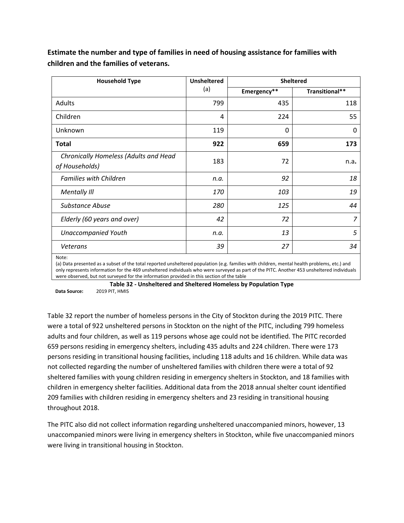| <b>Household Type</b>                                   | <b>Unsheltered</b> | <b>Sheltered</b> |                |  |
|---------------------------------------------------------|--------------------|------------------|----------------|--|
|                                                         | (a)                | Emergency**      | Transitional** |  |
| Adults                                                  | 799                | 435              | 118            |  |
| Children                                                | 4                  | 224              | 55             |  |
| Unknown                                                 | 119                | $\Omega$         | 0              |  |
| <b>Total</b>                                            | 922                | 659              | 173            |  |
| Chronically Homeless (Adults and Head<br>of Households) | 183                | 72               | n.a.           |  |
| <b>Families with Children</b>                           | n.a.               | 92               | 18             |  |
| Mentally III                                            | 170                | 103              | 19             |  |
| Substance Abuse                                         | 280                | 125              | 44             |  |
| Elderly (60 years and over)                             | 42                 | 72               | $\overline{z}$ |  |
| <b>Unaccompanied Youth</b>                              | n.a.               | 13               | 5              |  |
| <b>Veterans</b>                                         | 39                 | 27               | 34             |  |
| Note:                                                   |                    |                  |                |  |

**Estimate the number and type of families in need of housing assistance for families with children and the families of veterans.**

(a) Data presented as a subset of the total reported unsheltered population (e.g. families with children, mental health problems, etc.) and only represents information for the 469 unsheltered individuals who were surveyed as part of the PITC. Another 453 unsheltered individuals were observed, but not surveyed for the information provided in this section of the table

<span id="page-6-0"></span>**Table 32 - Unsheltered and Sheltered Homeless by Population Type Data Source:** 2019 PIT, HMIS

[Table 32 r](#page-6-0)eport the number of homeless persons in the City of Stockton during the 2019 PITC. There were a total of 922 unsheltered persons in Stockton on the night of the PITC, including 799 homeless adults and four children, as well as 119 persons whose age could not be identified. The PITC recorded 659 persons residing in emergency shelters, including 435 adults and 224 children. There were 173 persons residing in transitional housing facilities, including 118 adults and 16 children. While data was not collected regarding the number of unsheltered families with children there were a total of 92 sheltered families with young children residing in emergency shelters in Stockton, and 18 families with children in emergency shelter facilities. Additional data from the 2018 annual shelter count identified 209 families with children residing in emergency shelters and 23 residing in transitional housing throughout 2018.

The PITC also did not collect information regarding unsheltered unaccompanied minors, however, 13 unaccompanied minors were living in emergency shelters in Stockton, while five unaccompanied minors were living in transitional housing in Stockton.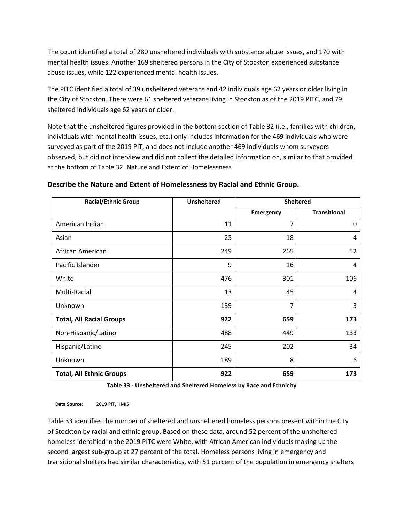The count identified a total of 280 unsheltered individuals with substance abuse issues, and 170 with mental health issues. Another 169 sheltered persons in the City of Stockton experienced substance abuse issues, while 122 experienced mental health issues.

The PITC identified a total of 39 unsheltered veterans and 42 individuals age 62 years or older living in the City of Stockton. There were 61 sheltered veterans living in Stockton as of the 2019 PITC, and 79 sheltered individuals age 62 years or older.

Note that the unsheltered figures provided in the bottom section of [Table 32 \(](#page-6-0)i.e., families with children, individuals with mental health issues, etc.) only includes information for the 469 individuals who were surveyed as part of the 2019 PIT, and does not include another 469 individuals whom surveyors observed, but did not interview and did not collect the detailed information on, similar to that provided at the bottom o[f Table 32.](#page-6-0) Nature and Extent of Homelessness

| <b>Racial/Ethnic Group</b>      | <b>Unsheltered</b> | <b>Sheltered</b> |                     |
|---------------------------------|--------------------|------------------|---------------------|
|                                 |                    | <b>Emergency</b> | <b>Transitional</b> |
| American Indian                 | 11                 | 7                | 0                   |
| Asian                           | 25                 | 18               | 4                   |
| African American                | 249                | 265              | 52                  |
| Pacific Islander                | 9                  | 16               | 4                   |
| White                           | 476                | 301              | 106                 |
| Multi-Racial                    | 13                 | 45               | 4                   |
| Unknown                         | 139                | $\overline{7}$   | 3                   |
| <b>Total, All Racial Groups</b> | 922                | 659              | 173                 |
| Non-Hispanic/Latino             | 488                | 449              | 133                 |
| Hispanic/Latino                 | 245                | 202              | 34                  |
| Unknown                         | 189                | 8                | 6                   |
| <b>Total, All Ethnic Groups</b> | 922                | 659              | 173                 |

#### **Describe the Nature and Extent of Homelessness by Racial and Ethnic Group.**

**Table 33 - Unsheltered and Sheltered Homeless by Race and Ethnicity**

<span id="page-7-0"></span>**Data Source:** 2019 PIT, HMIS

[Table 33 i](#page-7-0)dentifies the number of sheltered and unsheltered homeless persons present within the City of Stockton by racial and ethnic group. Based on these data, around 52 percent of the unsheltered homeless identified in the 2019 PITC were White, with African American individuals making up the second largest sub-group at 27 percent of the total. Homeless persons living in emergency and transitional shelters had similar characteristics, with 51 percent of the population in emergency shelters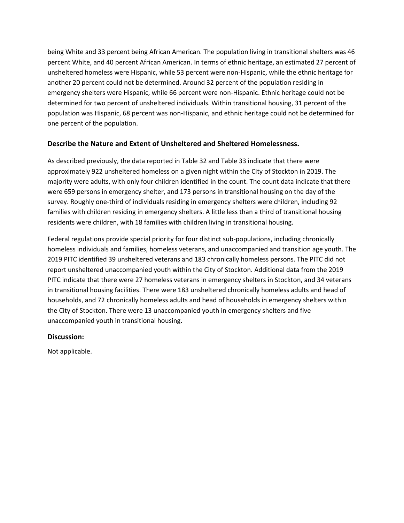being White and 33 percent being African American. The population living in transitional shelters was 46 percent White, and 40 percent African American. In terms of ethnic heritage, an estimated 27 percent of unsheltered homeless were Hispanic, while 53 percent were non-Hispanic, while the ethnic heritage for another 20 percent could not be determined. Around 32 percent of the population residing in emergency shelters were Hispanic, while 66 percent were non-Hispanic. Ethnic heritage could not be determined for two percent of unsheltered individuals. Within transitional housing, 31 percent of the population was Hispanic, 68 percent was non-Hispanic, and ethnic heritage could not be determined for one percent of the population.

#### **Describe the Nature and Extent of Unsheltered and Sheltered Homelessness.**

As described previously, the data reported in [Table 32 a](#page-6-0)nd [Table 33 i](#page-7-0)ndicate that there were approximately 922 unsheltered homeless on a given night within the City of Stockton in 2019. The majority were adults, with only four children identified in the count. The count data indicate that there were 659 persons in emergency shelter, and 173 persons in transitional housing on the day of the survey. Roughly one-third of individuals residing in emergency shelters were children, including 92 families with children residing in emergency shelters. A little less than a third of transitional housing residents were children, with 18 families with children living in transitional housing.

Federal regulations provide special priority for four distinct sub-populations, including chronically homeless individuals and families, homeless veterans, and unaccompanied and transition age youth. The 2019 PITC identified 39 unsheltered veterans and 183 chronically homeless persons. The PITC did not report unsheltered unaccompanied youth within the City of Stockton. Additional data from the 2019 PITC indicate that there were 27 homeless veterans in emergency shelters in Stockton, and 34 veterans in transitional housing facilities. There were 183 unsheltered chronically homeless adults and head of households, and 72 chronically homeless adults and head of households in emergency shelters within the City of Stockton. There were 13 unaccompanied youth in emergency shelters and five unaccompanied youth in transitional housing.

#### **Discussion:**

Not applicable.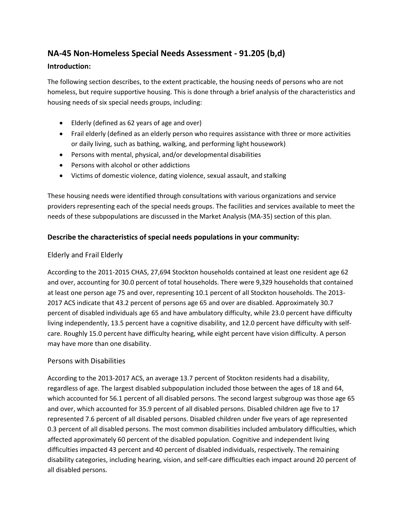# **NA-45 Non-Homeless Special Needs Assessment - 91.205 (b,d)**

#### **Introduction:**

The following section describes, to the extent practicable, the housing needs of persons who are not homeless, but require supportive housing. This is done through a brief analysis of the characteristics and housing needs of six special needs groups, including:

- Elderly (defined as 62 years of age and over)
- Frail elderly (defined as an elderly person who requires assistance with three or more activities or daily living, such as bathing, walking, and performing light housework)
- Persons with mental, physical, and/or developmental disabilities
- Persons with alcohol or other addictions
- Victims of domestic violence, dating violence, sexual assault, and stalking

These housing needs were identified through consultations with various organizations and service providers representing each of the special needs groups. The facilities and services available to meet the needs of these subpopulations are discussed in the Market Analysis (MA-35) section of this plan.

#### **Describe the characteristics of special needs populations in your community:**

#### Elderly and Frail Elderly

According to the 2011-2015 CHAS, 27,694 Stockton households contained at least one resident age 62 and over, accounting for 30.0 percent of total households. There were 9,329 households that contained at least one person age 75 and over, representing 10.1 percent of all Stockton households. The 2013- 2017 ACS indicate that 43.2 percent of persons age 65 and over are disabled. Approximately 30.7 percent of disabled individuals age 65 and have ambulatory difficulty, while 23.0 percent have difficulty living independently, 13.5 percent have a cognitive disability, and 12.0 percent have difficulty with selfcare. Roughly 15.0 percent have difficulty hearing, while eight percent have vision difficulty. A person may have more than one disability.

#### Persons with Disabilities

According to the 2013-2017 ACS, an average 13.7 percent of Stockton residents had a disability, regardless of age. The largest disabled subpopulation included those between the ages of 18 and 64, which accounted for 56.1 percent of all disabled persons. The second largest subgroup was those age 65 and over, which accounted for 35.9 percent of all disabled persons. Disabled children age five to 17 represented 7.6 percent of all disabled persons. Disabled children under five years of age represented 0.3 percent of all disabled persons. The most common disabilities included ambulatory difficulties, which affected approximately 60 percent of the disabled population. Cognitive and independent living difficulties impacted 43 percent and 40 percent of disabled individuals, respectively. The remaining disability categories, including hearing, vision, and self-care difficulties each impact around 20 percent of all disabled persons.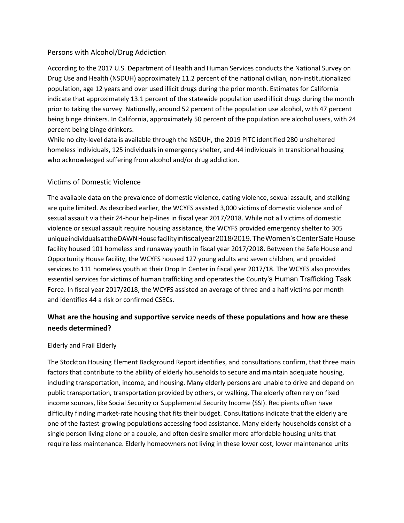#### Persons with Alcohol/Drug Addiction

According to the 2017 U.S. Department of Health and Human Services conducts the National Survey on Drug Use and Health (NSDUH) approximately 11.2 percent of the national civilian, non-institutionalized population, age 12 years and over used illicit drugs during the prior month. Estimates for California indicate that approximately 13.1 percent of the statewide population used illicit drugs during the month prior to taking the survey. Nationally, around 52 percent of the population use alcohol, with 47 percent being binge drinkers. In California, approximately 50 percent of the population are alcohol users, with 24 percent being binge drinkers.

While no city-level data is available through the NSDUH, the 2019 PITC identified 280 unsheltered homeless individuals, 125 individuals in emergency shelter, and 44 individuals in transitional housing who acknowledged suffering from alcohol and/or drug addiction.

#### Victims of Domestic Violence

The available data on the prevalence of domestic violence, dating violence, sexual assault, and stalking are quite limited. As described earlier, the WCYFS assisted 3,000 victims of domestic violence and of sexual assault via their 24-hour help-lines in fiscal year 2017/2018. While not all victims of domestic violence or sexual assault require housing assistance, the WCYFS provided emergency shelter to 305 uniqueindividualsattheDAWNHousefacilityinfiscalyear2018/2019.TheWomen'sCenterSafeHouse facility housed 101 homeless and runaway youth in fiscal year 2017/2018. Between the Safe House and Opportunity House facility, the WCYFS housed 127 young adults and seven children, and provided services to 111 homeless youth at their Drop In Center in fiscal year 2017/18. The WCYFS also provides essential services for victims of human trafficking and operates the County's Human Trafficking Task Force. In fiscal year 2017/2018, the WCYFS assisted an average of three and a half victims per month and identifies 44 a risk or confirmed CSECs.

# **What are the housing and supportive service needs of these populations and how are these needs determined?**

#### Elderly and Frail Elderly

The Stockton Housing Element Background Report identifies, and consultations confirm, that three main factors that contribute to the ability of elderly households to secure and maintain adequate housing, including transportation, income, and housing. Many elderly persons are unable to drive and depend on public transportation, transportation provided by others, or walking. The elderly often rely on fixed income sources, like Social Security or Supplemental Security Income (SSI). Recipients often have difficulty finding market-rate housing that fits their budget. Consultations indicate that the elderly are one of the fastest-growing populations accessing food assistance. Many elderly households consist of a single person living alone or a couple, and often desire smaller more affordable housing units that require less maintenance. Elderly homeowners not living in these lower cost, lower maintenance units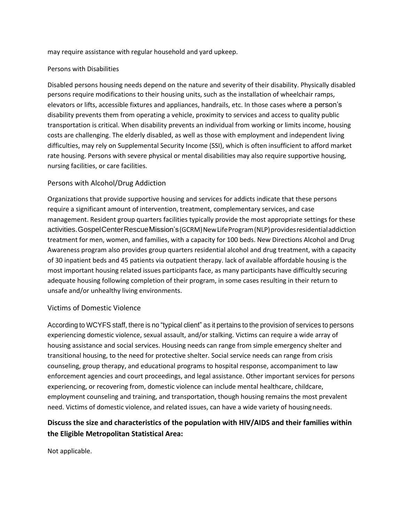may require assistance with regular household and yard upkeep.

#### Persons with Disabilities

Disabled persons housing needs depend on the nature and severity of their disability. Physically disabled persons require modifications to their housing units, such as the installation of wheelchair ramps, elevators or lifts, accessible fixtures and appliances, handrails, etc. In those cases where a person's disability prevents them from operating a vehicle, proximity to services and access to quality public transportation is critical. When disability prevents an individual from working or limits income, housing costs are challenging. The elderly disabled, as well as those with employment and independent living difficulties, may rely on Supplemental Security Income (SSI), which is often insufficient to afford market rate housing. Persons with severe physical or mental disabilities may also require supportive housing, nursing facilities, or care facilities.

#### Persons with Alcohol/Drug Addiction

Organizations that provide supportive housing and services for addicts indicate that these persons require a significant amount of intervention, treatment, complementary services, and case management. Resident group quarters facilities typically provide the most appropriate settings for these activities.GospelCenterRescueMission's(GCRM)NewLifeProgram(NLP)providesresidentialaddiction treatment for men, women, and families, with a capacity for 100 beds. New Directions Alcohol and Drug Awareness program also provides group quarters residential alcohol and drug treatment, with a capacity of 30 inpatient beds and 45 patients via outpatient therapy. lack of available affordable housing is the most important housing related issues participants face, as many participants have difficultly securing adequate housing following completion of their program, in some cases resulting in their return to unsafe and/or unhealthy living environments.

#### Victims of Domestic Violence

According to WCYFS staff, there is no "typical client" as it pertains to the provision of services to persons experiencing domestic violence, sexual assault, and/or stalking. Victims can require a wide array of housing assistance and social services. Housing needs can range from simple emergency shelter and transitional housing, to the need for protective shelter. Social service needs can range from crisis counseling, group therapy, and educational programs to hospital response, accompaniment to law enforcement agencies and court proceedings, and legal assistance. Other important services for persons experiencing, or recovering from, domestic violence can include mental healthcare, childcare, employment counseling and training, and transportation, though housing remains the most prevalent need. Victims of domestic violence, and related issues, can have a wide variety of housingneeds.

# **Discuss the size and characteristics of the population with HIV/AIDS and their families within the Eligible Metropolitan Statistical Area:**

Not applicable.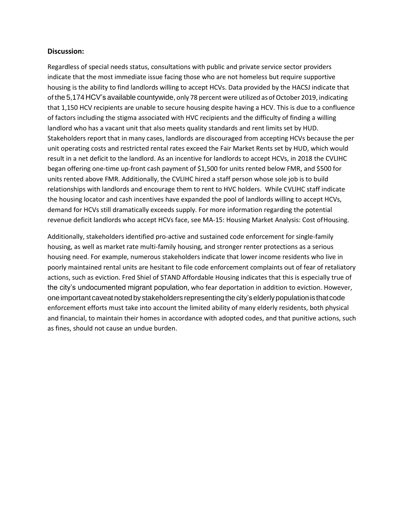#### **Discussion:**

Regardless of special needs status, consultations with public and private service sector providers indicate that the most immediate issue facing those who are not homeless but require supportive housing is the ability to find landlords willing to accept HCVs. Data provided by the HACSJ indicate that of the 5,174 HCV's available countywide, only 78 percent were utilized as of October 2019, indicating that 1,150 HCV recipients are unable to secure housing despite having a HCV. This is due to a confluence of factors including the stigma associated with HVC recipients and the difficulty of finding a willing landlord who has a vacant unit that also meets quality standards and rent limits set by HUD. Stakeholders report that in many cases, landlords are discouraged from accepting HCVs because the per unit operating costs and restricted rental rates exceed the Fair Market Rents set by HUD, which would result in a net deficit to the landlord. As an incentive for landlords to accept HCVs, in 2018 the CVLIHC began offering one-time up-front cash payment of \$1,500 for units rented below FMR, and \$500 for units rented above FMR. Additionally, the CVLIHC hired a staff person whose sole job is to build relationships with landlords and encourage them to rent to HVC holders. While CVLIHC staff indicate the housing locator and cash incentives have expanded the pool of landlords willing to accept HCVs, demand for HCVs still dramatically exceeds supply. For more information regarding the potential revenue deficit landlords who accept HCVs face, see MA-15: Housing Market Analysis: Cost ofHousing.

Additionally, stakeholders identified pro-active and sustained code enforcement for single-family housing, as well as market rate multi-family housing, and stronger renter protections as a serious housing need. For example, numerous stakeholders indicate that lower income residents who live in poorly maintained rental units are hesitant to file code enforcement complaints out of fear of retaliatory actions, such as eviction. Fred Shiel of STAND Affordable Housing indicates that this is especially true of the city's undocumented migrant population, who fear deportation in addition to eviction. However, one important caveat noted by stakeholders representing the city's elderly population is that code enforcement efforts must take into account the limited ability of many elderly residents, both physical and financial, to maintain their homes in accordance with adopted codes, and that punitive actions, such as fines, should not cause an undue burden.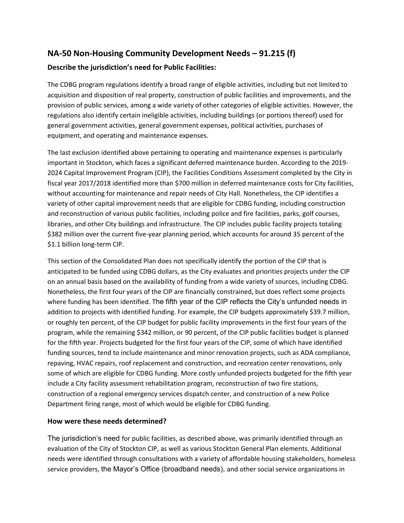# **NA-50 Non-Housing Community Development Needs – 91.215 (f) Describe the jurisdiction's need for Public Facilities:**

The CDBG program regulations identify a broad range of eligible activities, including but not limited to acquisition and disposition of real property, construction of public facilities and improvements, and the provision of public services, among a wide variety of other categories of eligible activities. However, the regulations also identify certain ineligible activities, including buildings (or portions thereof) used for general government activities, general government expenses, political activities, purchases of equipment, and operating and maintenance expenses.

The last exclusion identified above pertaining to operating and maintenance expenses is particularly important in Stockton, which faces a significant deferred maintenance burden. According to the 2019- 2024 Capital Improvement Program (CIP), the Facilities Conditions Assessment completed by the City in fiscal year 2017/2018 identified more than \$700 million in deferred maintenance costs for City facilities, without accounting for maintenance and repair needs of City Hall. Nonetheless, the CIP identifies a variety of other capital improvement needs that are eligible for CDBG funding, including construction and reconstruction of various public facilities, including police and fire facilities, parks, golf courses, libraries, and other City buildings and infrastructure. The CIP includes public facility projects totaling \$382 million over the current five-year planning period, which accounts for around 35 percent of the \$1.1 billion long-term CIP.

This section of the Consolidated Plan does not specifically identify the portion of the CIP that is anticipated to be funded using CDBG dollars, as the City evaluates and priorities projects under the CIP on an annual basis based on the availability of funding from a wide variety of sources, including CDBG. Nonetheless, the first four years of the CIP are financially constrained, but does reflect some projects where funding has been identified. The fifth year of the CIP reflects the City's unfunded needs in addition to projects with identified funding. For example, the CIP budgets approximately \$39.7 million, or roughly ten percent, of the CIP budget for public facility improvements in the first four years of the program, while the remaining \$342 million, or 90 percent, of the CIP public facilities budget is planned for the fifth year. Projects budgeted for the first four years of the CIP, some of which have identified funding sources, tend to include maintenance and minor renovation projects, such as ADA compliance, repaving, HVAC repairs, roof replacement and construction, and recreation center renovations, only some of which are eligible for CDBG funding. More costly unfunded projects budgeted for the fifth year include a City facility assessment rehabilitation program, reconstruction of two fire stations, construction of a regional emergency services dispatch center, and construction of a new Police Department firing range, most of which would be eligible for CDBG funding.

#### **How were these needs determined?**

The jurisdiction's need for public facilities, as described above, was primarily identified through an evaluation of the City of Stockton CIP, as well as various Stockton General Plan elements. Additional needs were identified through consultations with a variety of affordable housing stakeholders, homeless service providers, the Mayor's Office (broadband needs), and other social service organizations in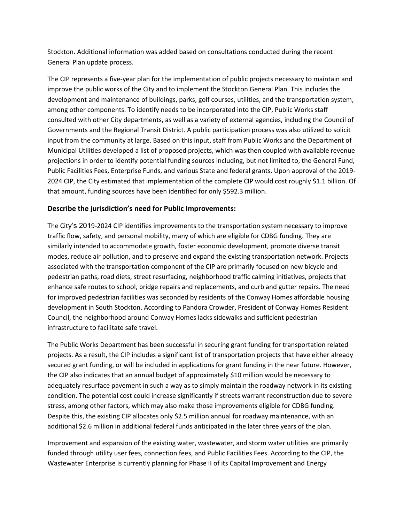Stockton. Additional information was added based on consultations conducted during the recent General Plan update process.

The CIP represents a five-year plan for the implementation of public projects necessary to maintain and improve the public works of the City and to implement the Stockton General Plan. This includes the development and maintenance of buildings, parks, golf courses, utilities, and the transportation system, among other components. To identify needs to be incorporated into the CIP, Public Works staff consulted with other City departments, as well as a variety of external agencies, including the Council of Governments and the Regional Transit District. A public participation process was also utilized to solicit input from the community at large. Based on this input, staff from Public Works and the Department of Municipal Utilities developed a list of proposed projects, which was then coupled with available revenue projections in order to identify potential funding sources including, but not limited to, the General Fund, Public Facilities Fees, Enterprise Funds, and various State and federal grants. Upon approval of the 2019- 2024 CIP, the City estimated that implementation of the complete CIP would cost roughly \$1.1 billion. Of that amount, funding sources have been identified for only \$592.3 million.

#### **Describe the jurisdiction's need for Public Improvements:**

The City's 2019-2024 CIP identifies improvements to the transportation system necessary to improve traffic flow, safety, and personal mobility, many of which are eligible for CDBG funding. They are similarly intended to accommodate growth, foster economic development, promote diverse transit modes, reduce air pollution, and to preserve and expand the existing transportation network. Projects associated with the transportation component of the CIP are primarily focused on new bicycle and pedestrian paths, road diets, street resurfacing, neighborhood traffic calming initiatives, projects that enhance safe routes to school, bridge repairs and replacements, and curb and gutter repairs. The need for improved pedestrian facilities was seconded by residents of the Conway Homes affordable housing development in South Stockton. According to Pandora Crowder, President of Conway Homes Resident Council, the neighborhood around Conway Homes lacks sidewalks and sufficient pedestrian infrastructure to facilitate safe travel.

The Public Works Department has been successful in securing grant funding for transportation related projects. As a result, the CIP includes a significant list of transportation projects that have either already secured grant funding, or will be included in applications for grant funding in the near future. However, the CIP also indicates that an annual budget of approximately \$10 million would be necessary to adequately resurface pavement in such a way as to simply maintain the roadway network in its existing condition. The potential cost could increase significantly if streets warrant reconstruction due to severe stress, among other factors, which may also make those improvements eligible for CDBG funding. Despite this, the existing CIP allocates only \$2.5 million annual for roadway maintenance, with an additional \$2.6 million in additional federal funds anticipated in the later three years of the plan.

Improvement and expansion of the existing water, wastewater, and storm water utilities are primarily funded through utility user fees, connection fees, and Public Facilities Fees. According to the CIP, the Wastewater Enterprise is currently planning for Phase II of its Capital Improvement and Energy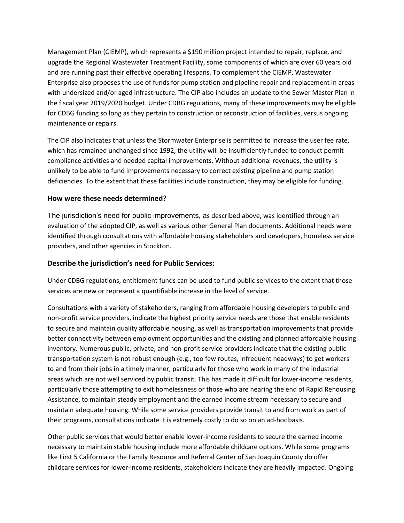Management Plan (CIEMP), which represents a \$190 million project intended to repair, replace, and upgrade the Regional Wastewater Treatment Facility, some components of which are over 60 years old and are running past their effective operating lifespans. To complement the CIEMP, Wastewater Enterprise also proposes the use of funds for pump station and pipeline repair and replacement in areas with undersized and/or aged infrastructure. The CIP also includes an update to the Sewer Master Plan in the fiscal year 2019/2020 budget. Under CDBG regulations, many of these improvements may be eligible for CDBG funding so long as they pertain to construction or reconstruction of facilities, versus ongoing maintenance or repairs.

The CIP also indicates that unless the Stormwater Enterprise is permitted to increase the user fee rate, which has remained unchanged since 1992, the utility will be insufficiently funded to conduct permit compliance activities and needed capital improvements. Without additional revenues, the utility is unlikely to be able to fund improvements necessary to correct existing pipeline and pump station deficiencies. To the extent that these facilities include construction, they may be eligible for funding.

#### **How were these needs determined?**

The jurisdiction's need for public improvements, as described above, was identified through an evaluation of the adopted CIP, as well as various other General Plan documents. Additional needs were identified through consultations with affordable housing stakeholders and developers, homeless service providers, and other agencies in Stockton.

#### **Describe the jurisdiction's need for Public Services:**

Under CDBG regulations, entitlement funds can be used to fund public services to the extent that those services are new or represent a quantifiable increase in the level of service.

Consultations with a variety of stakeholders, ranging from affordable housing developers to public and non-profit service providers, indicate the highest priority service needs are those that enable residents to secure and maintain quality affordable housing, as well as transportation improvements that provide better connectivity between employment opportunities and the existing and planned affordable housing inventory. Numerous public, private, and non-profit service providers indicate that the existing public transportation system is not robust enough (e.g., too few routes, infrequent headways) to get workers to and from their jobs in a timely manner, particularly for those who work in many of the industrial areas which are not well serviced by public transit. This has made it difficult for lower-income residents, particularly those attempting to exit homelessness or those who are nearing the end of Rapid Rehousing Assistance, to maintain steady employment and the earned income stream necessary to secure and maintain adequate housing. While some service providers provide transit to and from work as part of their programs, consultations indicate it is extremely costly to do so on an ad-hoc basis.

Other public services that would better enable lower-income residents to secure the earned income necessary to maintain stable housing include more affordable childcare options. While some programs like First 5 California or the Family Resource and Referral Center of San Joaquin County do offer childcare services for lower-income residents, stakeholders indicate they are heavily impacted. Ongoing